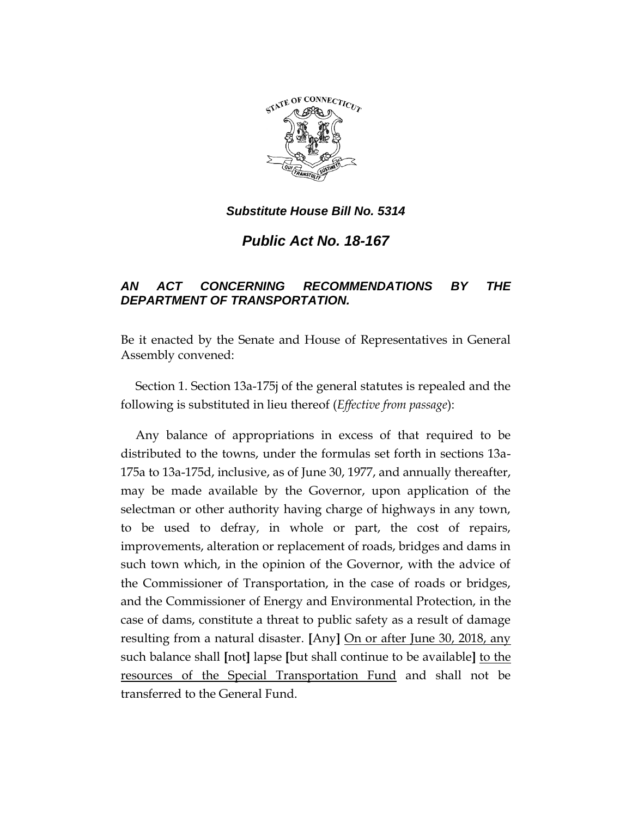

*Public Act No. 18-167*

# *AN ACT CONCERNING RECOMMENDATIONS BY THE DEPARTMENT OF TRANSPORTATION.*

Be it enacted by the Senate and House of Representatives in General Assembly convened:

Section 1. Section 13a-175j of the general statutes is repealed and the following is substituted in lieu thereof (*Effective from passage*):

Any balance of appropriations in excess of that required to be distributed to the towns, under the formulas set forth in sections 13a-175a to 13a-175d, inclusive, as of June 30, 1977, and annually thereafter, may be made available by the Governor, upon application of the selectman or other authority having charge of highways in any town, to be used to defray, in whole or part, the cost of repairs, improvements, alteration or replacement of roads, bridges and dams in such town which, in the opinion of the Governor, with the advice of the Commissioner of Transportation, in the case of roads or bridges, and the Commissioner of Energy and Environmental Protection, in the case of dams, constitute a threat to public safety as a result of damage resulting from a natural disaster. **[**Any**]** On or after June 30, 2018, any such balance shall **[**not**]** lapse **[**but shall continue to be available**]** to the resources of the Special Transportation Fund and shall not be transferred to the General Fund.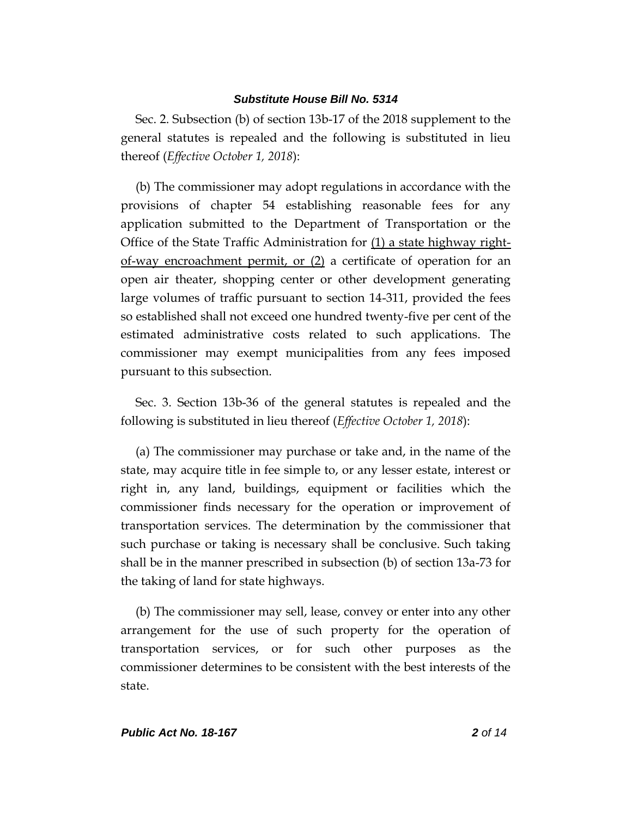Sec. 2. Subsection (b) of section 13b-17 of the 2018 supplement to the general statutes is repealed and the following is substituted in lieu thereof (*Effective October 1, 2018*):

(b) The commissioner may adopt regulations in accordance with the provisions of chapter 54 establishing reasonable fees for any application submitted to the Department of Transportation or the Office of the State Traffic Administration for  $(1)$  a state highway rightof-way encroachment permit, or (2) a certificate of operation for an open air theater, shopping center or other development generating large volumes of traffic pursuant to section 14-311, provided the fees so established shall not exceed one hundred twenty-five per cent of the estimated administrative costs related to such applications. The commissioner may exempt municipalities from any fees imposed pursuant to this subsection.

Sec. 3. Section 13b-36 of the general statutes is repealed and the following is substituted in lieu thereof (*Effective October 1, 2018*):

(a) The commissioner may purchase or take and, in the name of the state, may acquire title in fee simple to, or any lesser estate, interest or right in, any land, buildings, equipment or facilities which the commissioner finds necessary for the operation or improvement of transportation services. The determination by the commissioner that such purchase or taking is necessary shall be conclusive. Such taking shall be in the manner prescribed in subsection (b) of section 13a-73 for the taking of land for state highways.

(b) The commissioner may sell, lease, convey or enter into any other arrangement for the use of such property for the operation of transportation services, or for such other purposes as the commissioner determines to be consistent with the best interests of the state.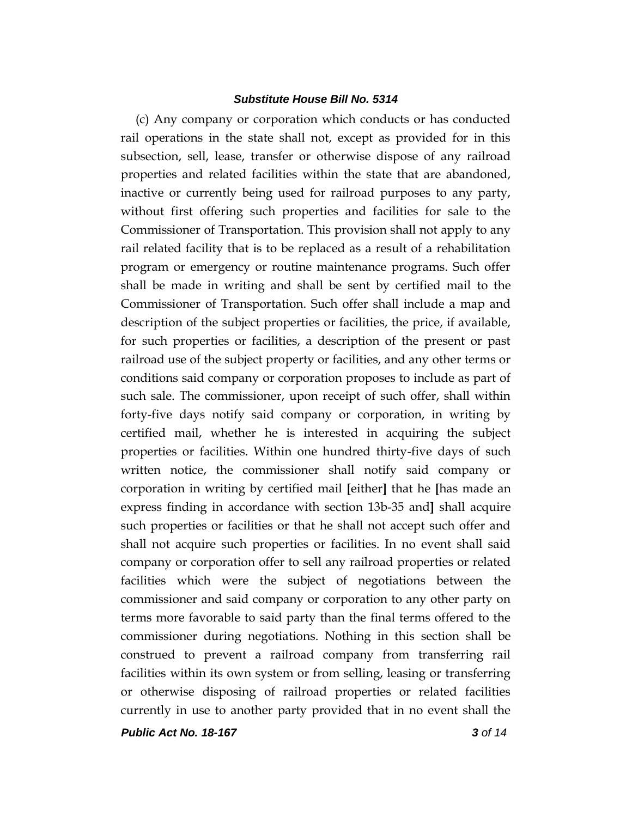(c) Any company or corporation which conducts or has conducted rail operations in the state shall not, except as provided for in this subsection, sell, lease, transfer or otherwise dispose of any railroad properties and related facilities within the state that are abandoned, inactive or currently being used for railroad purposes to any party, without first offering such properties and facilities for sale to the Commissioner of Transportation. This provision shall not apply to any rail related facility that is to be replaced as a result of a rehabilitation program or emergency or routine maintenance programs. Such offer shall be made in writing and shall be sent by certified mail to the Commissioner of Transportation. Such offer shall include a map and description of the subject properties or facilities, the price, if available, for such properties or facilities, a description of the present or past railroad use of the subject property or facilities, and any other terms or conditions said company or corporation proposes to include as part of such sale. The commissioner, upon receipt of such offer, shall within forty-five days notify said company or corporation, in writing by certified mail, whether he is interested in acquiring the subject properties or facilities. Within one hundred thirty-five days of such written notice, the commissioner shall notify said company or corporation in writing by certified mail **[**either**]** that he **[**has made an express finding in accordance with section 13b-35 and**]** shall acquire such properties or facilities or that he shall not accept such offer and shall not acquire such properties or facilities. In no event shall said company or corporation offer to sell any railroad properties or related facilities which were the subject of negotiations between the commissioner and said company or corporation to any other party on terms more favorable to said party than the final terms offered to the commissioner during negotiations. Nothing in this section shall be construed to prevent a railroad company from transferring rail facilities within its own system or from selling, leasing or transferring or otherwise disposing of railroad properties or related facilities currently in use to another party provided that in no event shall the

*Public Act No. 18-167 3 of 14*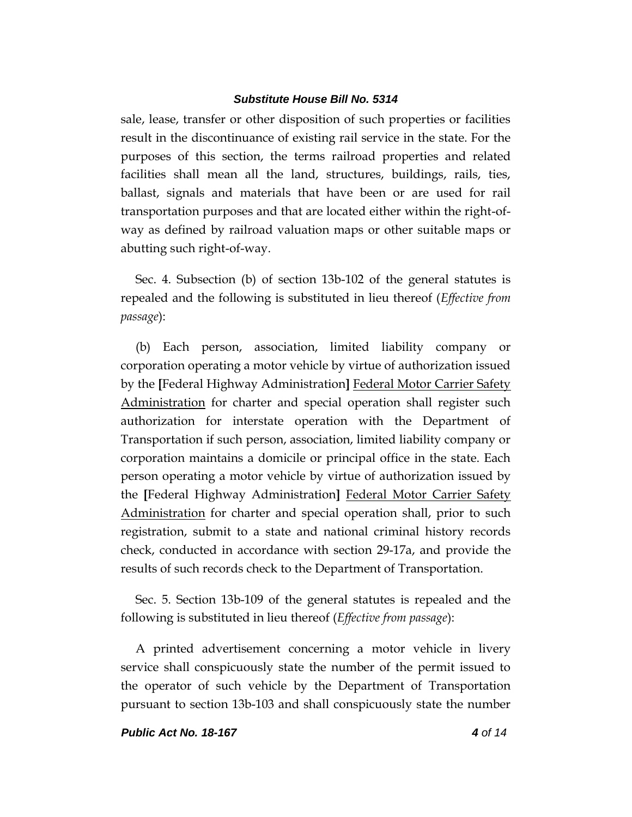sale, lease, transfer or other disposition of such properties or facilities result in the discontinuance of existing rail service in the state. For the purposes of this section, the terms railroad properties and related facilities shall mean all the land, structures, buildings, rails, ties, ballast, signals and materials that have been or are used for rail transportation purposes and that are located either within the right-ofway as defined by railroad valuation maps or other suitable maps or abutting such right-of-way.

Sec. 4. Subsection (b) of section 13b-102 of the general statutes is repealed and the following is substituted in lieu thereof (*Effective from passage*):

(b) Each person, association, limited liability company or corporation operating a motor vehicle by virtue of authorization issued by the **[**Federal Highway Administration**]** Federal Motor Carrier Safety Administration for charter and special operation shall register such authorization for interstate operation with the Department of Transportation if such person, association, limited liability company or corporation maintains a domicile or principal office in the state. Each person operating a motor vehicle by virtue of authorization issued by the **[**Federal Highway Administration**]** Federal Motor Carrier Safety Administration for charter and special operation shall, prior to such registration, submit to a state and national criminal history records check, conducted in accordance with section 29-17a, and provide the results of such records check to the Department of Transportation.

Sec. 5. Section 13b-109 of the general statutes is repealed and the following is substituted in lieu thereof (*Effective from passage*):

A printed advertisement concerning a motor vehicle in livery service shall conspicuously state the number of the permit issued to the operator of such vehicle by the Department of Transportation pursuant to section 13b-103 and shall conspicuously state the number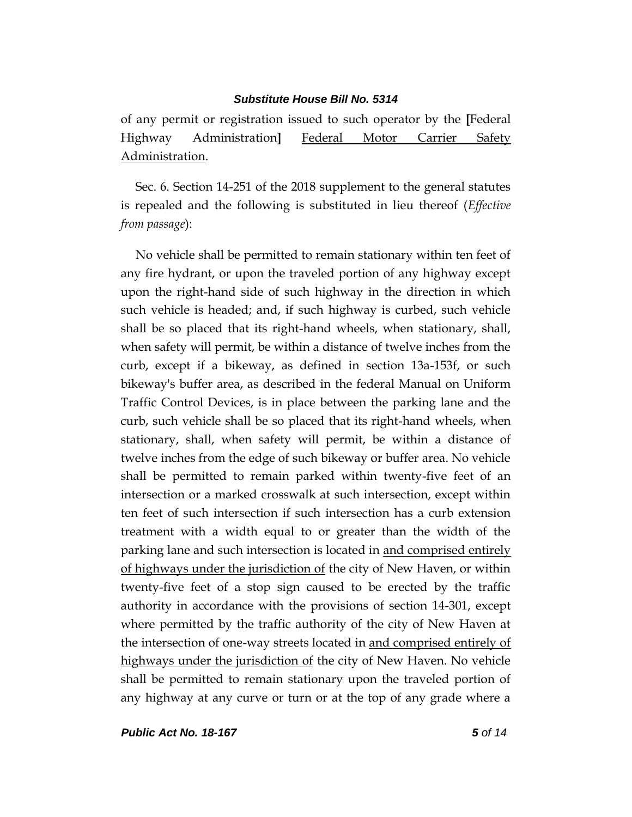of any permit or registration issued to such operator by the **[**Federal Highway Administration**]** Federal Motor Carrier Safety Administration.

Sec. 6. Section 14-251 of the 2018 supplement to the general statutes is repealed and the following is substituted in lieu thereof (*Effective from passage*):

No vehicle shall be permitted to remain stationary within ten feet of any fire hydrant, or upon the traveled portion of any highway except upon the right-hand side of such highway in the direction in which such vehicle is headed; and, if such highway is curbed, such vehicle shall be so placed that its right-hand wheels, when stationary, shall, when safety will permit, be within a distance of twelve inches from the curb, except if a bikeway, as defined in section 13a-153f, or such bikeway's buffer area, as described in the federal Manual on Uniform Traffic Control Devices, is in place between the parking lane and the curb, such vehicle shall be so placed that its right-hand wheels, when stationary, shall, when safety will permit, be within a distance of twelve inches from the edge of such bikeway or buffer area. No vehicle shall be permitted to remain parked within twenty-five feet of an intersection or a marked crosswalk at such intersection, except within ten feet of such intersection if such intersection has a curb extension treatment with a width equal to or greater than the width of the parking lane and such intersection is located in and comprised entirely of highways under the jurisdiction of the city of New Haven, or within twenty-five feet of a stop sign caused to be erected by the traffic authority in accordance with the provisions of section 14-301, except where permitted by the traffic authority of the city of New Haven at the intersection of one-way streets located in and comprised entirely of highways under the jurisdiction of the city of New Haven. No vehicle shall be permitted to remain stationary upon the traveled portion of any highway at any curve or turn or at the top of any grade where a

*Public Act No. 18-167 5 of 14*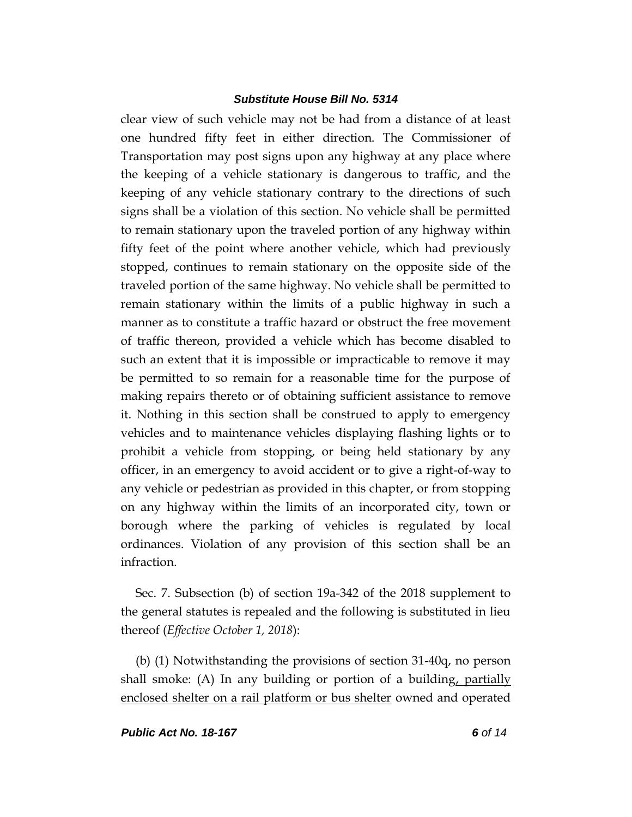clear view of such vehicle may not be had from a distance of at least one hundred fifty feet in either direction. The Commissioner of Transportation may post signs upon any highway at any place where the keeping of a vehicle stationary is dangerous to traffic, and the keeping of any vehicle stationary contrary to the directions of such signs shall be a violation of this section. No vehicle shall be permitted to remain stationary upon the traveled portion of any highway within fifty feet of the point where another vehicle, which had previously stopped, continues to remain stationary on the opposite side of the traveled portion of the same highway. No vehicle shall be permitted to remain stationary within the limits of a public highway in such a manner as to constitute a traffic hazard or obstruct the free movement of traffic thereon, provided a vehicle which has become disabled to such an extent that it is impossible or impracticable to remove it may be permitted to so remain for a reasonable time for the purpose of making repairs thereto or of obtaining sufficient assistance to remove it. Nothing in this section shall be construed to apply to emergency vehicles and to maintenance vehicles displaying flashing lights or to prohibit a vehicle from stopping, or being held stationary by any officer, in an emergency to avoid accident or to give a right-of-way to any vehicle or pedestrian as provided in this chapter, or from stopping on any highway within the limits of an incorporated city, town or borough where the parking of vehicles is regulated by local ordinances. Violation of any provision of this section shall be an infraction.

Sec. 7. Subsection (b) of section 19a-342 of the 2018 supplement to the general statutes is repealed and the following is substituted in lieu thereof (*Effective October 1, 2018*):

(b) (1) Notwithstanding the provisions of section 31-40q, no person shall smoke: (A) In any building or portion of a building, partially enclosed shelter on a rail platform or bus shelter owned and operated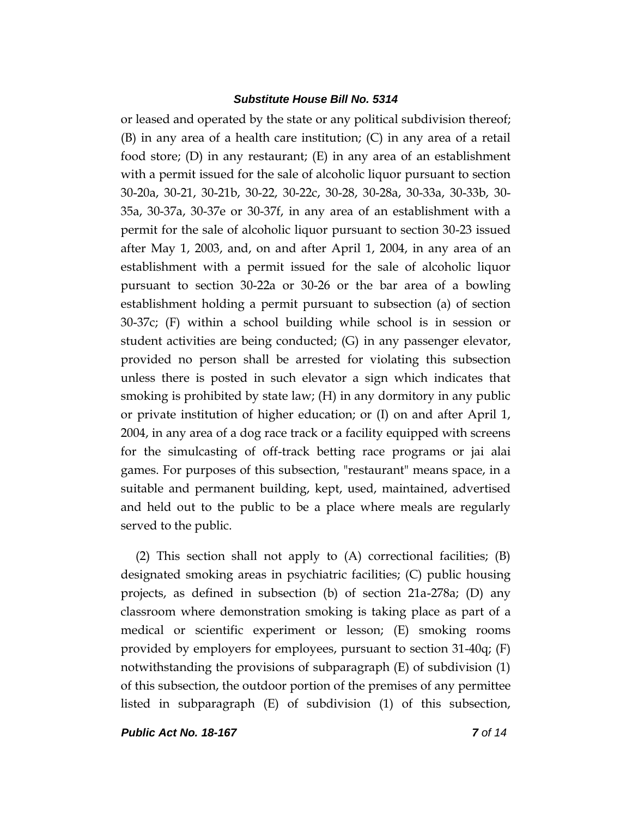or leased and operated by the state or any political subdivision thereof; (B) in any area of a health care institution; (C) in any area of a retail food store; (D) in any restaurant; (E) in any area of an establishment with a permit issued for the sale of alcoholic liquor pursuant to section 30-20a, 30-21, 30-21b, 30-22, 30-22c, 30-28, 30-28a, 30-33a, 30-33b, 30- 35a, 30-37a, 30-37e or 30-37f, in any area of an establishment with a permit for the sale of alcoholic liquor pursuant to section 30-23 issued after May 1, 2003, and, on and after April 1, 2004, in any area of an establishment with a permit issued for the sale of alcoholic liquor pursuant to section 30-22a or 30-26 or the bar area of a bowling establishment holding a permit pursuant to subsection (a) of section 30-37c; (F) within a school building while school is in session or student activities are being conducted; (G) in any passenger elevator, provided no person shall be arrested for violating this subsection unless there is posted in such elevator a sign which indicates that smoking is prohibited by state law; (H) in any dormitory in any public or private institution of higher education; or (I) on and after April 1, 2004, in any area of a dog race track or a facility equipped with screens for the simulcasting of off-track betting race programs or jai alai games. For purposes of this subsection, "restaurant" means space, in a suitable and permanent building, kept, used, maintained, advertised and held out to the public to be a place where meals are regularly served to the public.

(2) This section shall not apply to (A) correctional facilities; (B) designated smoking areas in psychiatric facilities; (C) public housing projects, as defined in subsection (b) of section 21a-278a; (D) any classroom where demonstration smoking is taking place as part of a medical or scientific experiment or lesson; (E) smoking rooms provided by employers for employees, pursuant to section 31-40q; (F) notwithstanding the provisions of subparagraph (E) of subdivision (1) of this subsection, the outdoor portion of the premises of any permittee listed in subparagraph (E) of subdivision (1) of this subsection,

*Public Act No. 18-167 7 of 14*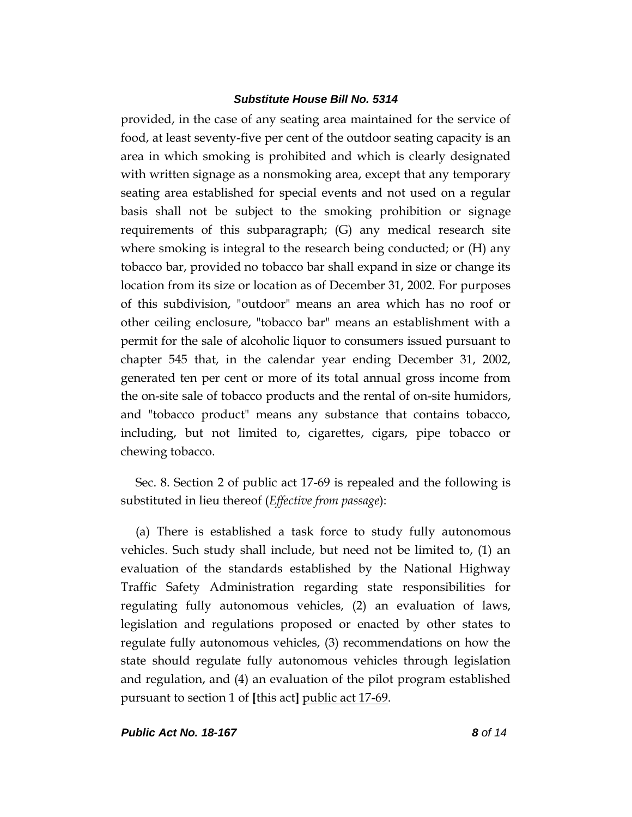provided, in the case of any seating area maintained for the service of food, at least seventy-five per cent of the outdoor seating capacity is an area in which smoking is prohibited and which is clearly designated with written signage as a nonsmoking area, except that any temporary seating area established for special events and not used on a regular basis shall not be subject to the smoking prohibition or signage requirements of this subparagraph; (G) any medical research site where smoking is integral to the research being conducted; or (H) any tobacco bar, provided no tobacco bar shall expand in size or change its location from its size or location as of December 31, 2002. For purposes of this subdivision, "outdoor" means an area which has no roof or other ceiling enclosure, "tobacco bar" means an establishment with a permit for the sale of alcoholic liquor to consumers issued pursuant to chapter 545 that, in the calendar year ending December 31, 2002, generated ten per cent or more of its total annual gross income from the on-site sale of tobacco products and the rental of on-site humidors, and "tobacco product" means any substance that contains tobacco, including, but not limited to, cigarettes, cigars, pipe tobacco or chewing tobacco.

Sec. 8. Section 2 of public act 17-69 is repealed and the following is substituted in lieu thereof (*Effective from passage*):

(a) There is established a task force to study fully autonomous vehicles. Such study shall include, but need not be limited to, (1) an evaluation of the standards established by the National Highway Traffic Safety Administration regarding state responsibilities for regulating fully autonomous vehicles, (2) an evaluation of laws, legislation and regulations proposed or enacted by other states to regulate fully autonomous vehicles, (3) recommendations on how the state should regulate fully autonomous vehicles through legislation and regulation, and (4) an evaluation of the pilot program established pursuant to section 1 of **[**this act**]** public act 17-69.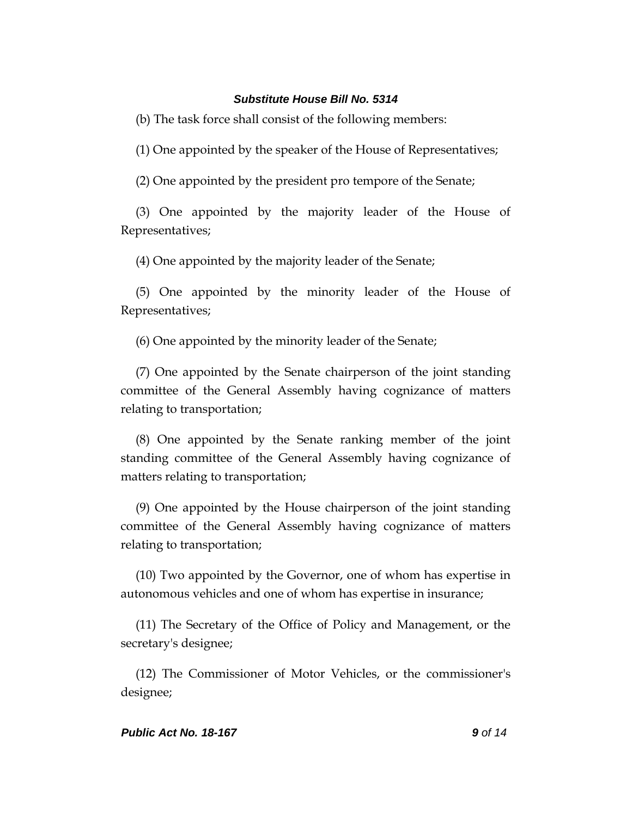(b) The task force shall consist of the following members:

(1) One appointed by the speaker of the House of Representatives;

(2) One appointed by the president pro tempore of the Senate;

(3) One appointed by the majority leader of the House of Representatives;

(4) One appointed by the majority leader of the Senate;

(5) One appointed by the minority leader of the House of Representatives;

(6) One appointed by the minority leader of the Senate;

(7) One appointed by the Senate chairperson of the joint standing committee of the General Assembly having cognizance of matters relating to transportation;

(8) One appointed by the Senate ranking member of the joint standing committee of the General Assembly having cognizance of matters relating to transportation;

(9) One appointed by the House chairperson of the joint standing committee of the General Assembly having cognizance of matters relating to transportation;

(10) Two appointed by the Governor, one of whom has expertise in autonomous vehicles and one of whom has expertise in insurance;

(11) The Secretary of the Office of Policy and Management, or the secretary's designee;

(12) The Commissioner of Motor Vehicles, or the commissioner's designee;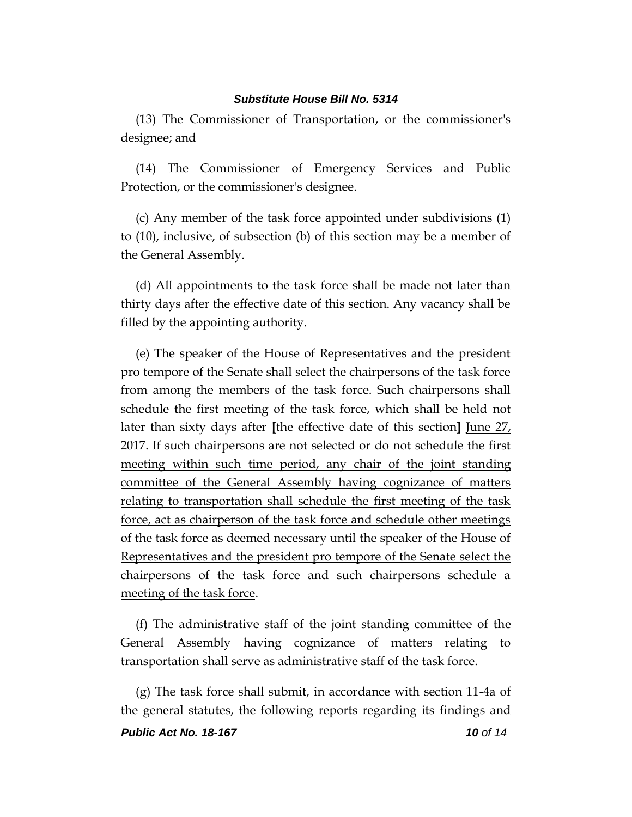(13) The Commissioner of Transportation, or the commissioner's designee; and

(14) The Commissioner of Emergency Services and Public Protection, or the commissioner's designee.

(c) Any member of the task force appointed under subdivisions (1) to (10), inclusive, of subsection (b) of this section may be a member of the General Assembly.

(d) All appointments to the task force shall be made not later than thirty days after the effective date of this section. Any vacancy shall be filled by the appointing authority.

(e) The speaker of the House of Representatives and the president pro tempore of the Senate shall select the chairpersons of the task force from among the members of the task force. Such chairpersons shall schedule the first meeting of the task force, which shall be held not later than sixty days after **[**the effective date of this section**]** June 27, 2017. If such chairpersons are not selected or do not schedule the first meeting within such time period, any chair of the joint standing committee of the General Assembly having cognizance of matters relating to transportation shall schedule the first meeting of the task force, act as chairperson of the task force and schedule other meetings of the task force as deemed necessary until the speaker of the House of Representatives and the president pro tempore of the Senate select the chairpersons of the task force and such chairpersons schedule a meeting of the task force.

(f) The administrative staff of the joint standing committee of the General Assembly having cognizance of matters relating to transportation shall serve as administrative staff of the task force.

(g) The task force shall submit, in accordance with section 11-4a of the general statutes, the following reports regarding its findings and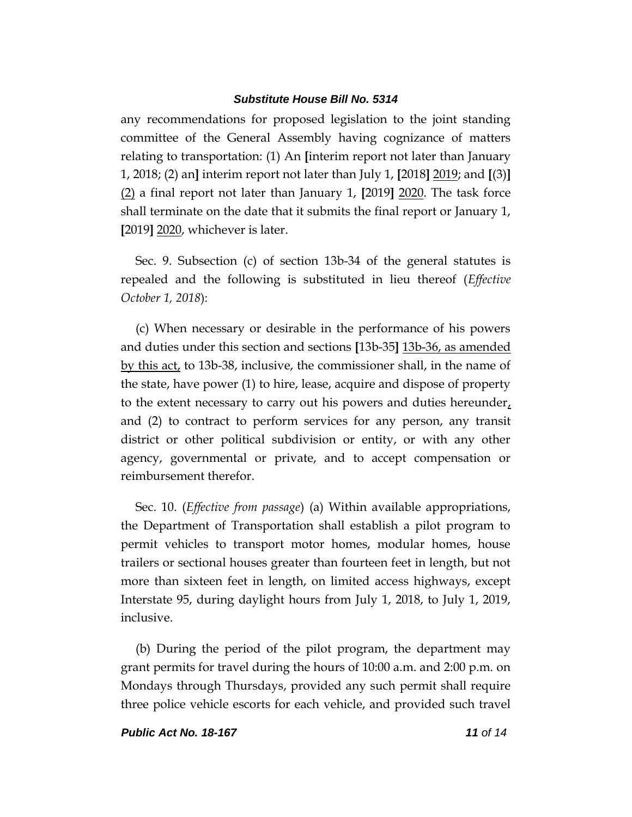any recommendations for proposed legislation to the joint standing committee of the General Assembly having cognizance of matters relating to transportation: (1) An **[**interim report not later than January 1, 2018; (2) an**]** interim report not later than July 1, **[**2018**]** 2019; and **[**(3)**]** (2) a final report not later than January 1, **[**2019**]** 2020. The task force shall terminate on the date that it submits the final report or January 1, **[**2019**]** 2020, whichever is later.

Sec. 9. Subsection (c) of section 13b-34 of the general statutes is repealed and the following is substituted in lieu thereof (*Effective October 1, 2018*):

(c) When necessary or desirable in the performance of his powers and duties under this section and sections **[**13b-35**]** 13b-36, as amended by this act, to 13b-38, inclusive, the commissioner shall, in the name of the state, have power (1) to hire, lease, acquire and dispose of property to the extent necessary to carry out his powers and duties hereunder, and (2) to contract to perform services for any person, any transit district or other political subdivision or entity, or with any other agency, governmental or private, and to accept compensation or reimbursement therefor.

Sec. 10. (*Effective from passage*) (a) Within available appropriations, the Department of Transportation shall establish a pilot program to permit vehicles to transport motor homes, modular homes, house trailers or sectional houses greater than fourteen feet in length, but not more than sixteen feet in length, on limited access highways, except Interstate 95, during daylight hours from July 1, 2018, to July 1, 2019, inclusive.

(b) During the period of the pilot program, the department may grant permits for travel during the hours of 10:00 a.m. and 2:00 p.m. on Mondays through Thursdays, provided any such permit shall require three police vehicle escorts for each vehicle, and provided such travel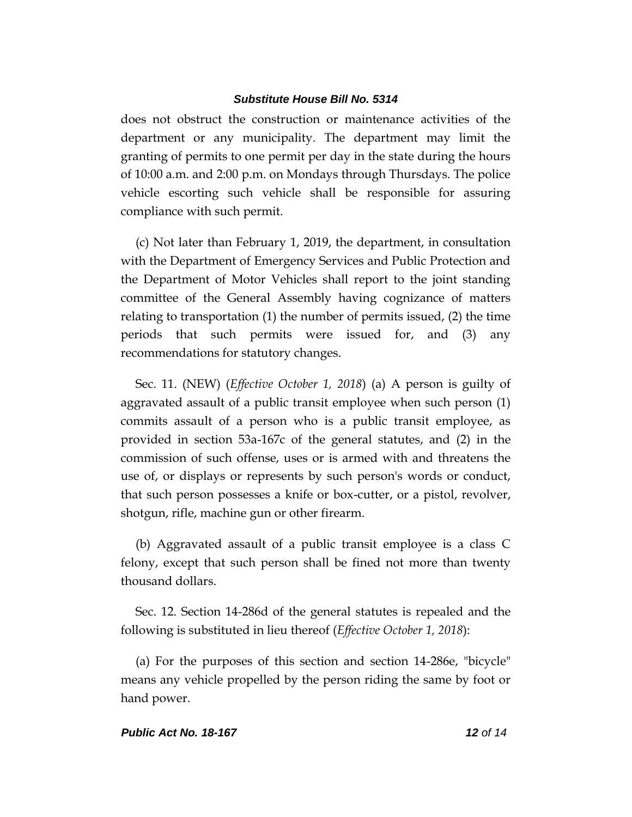does not obstruct the construction or maintenance activities of the department or any municipality. The department may limit the granting of permits to one permit per day in the state during the hours of 10:00 a.m. and 2:00 p.m. on Mondays through Thursdays. The police vehicle escorting such vehicle shall be responsible for assuring compliance with such permit.

(c) Not later than February 1, 2019, the department, in consultation with the Department of Emergency Services and Public Protection and the Department of Motor Vehicles shall report to the joint standing committee of the General Assembly having cognizance of matters relating to transportation (1) the number of permits issued, (2) the time periods that such permits were issued for, and (3) any recommendations for statutory changes.

Sec. 11. (NEW) (*Effective October 1, 2018*) (a) A person is guilty of aggravated assault of a public transit employee when such person (1) commits assault of a person who is a public transit employee, as provided in section 53a-167c of the general statutes, and (2) in the commission of such offense, uses or is armed with and threatens the use of, or displays or represents by such person's words or conduct, that such person possesses a knife or box-cutter, or a pistol, revolver, shotgun, rifle, machine gun or other firearm.

(b) Aggravated assault of a public transit employee is a class C felony, except that such person shall be fined not more than twenty thousand dollars.

Sec. 12. Section 14-286d of the general statutes is repealed and the following is substituted in lieu thereof (*Effective October 1, 2018*):

(a) For the purposes of this section and section 14-286e, "bicycle" means any vehicle propelled by the person riding the same by foot or hand power.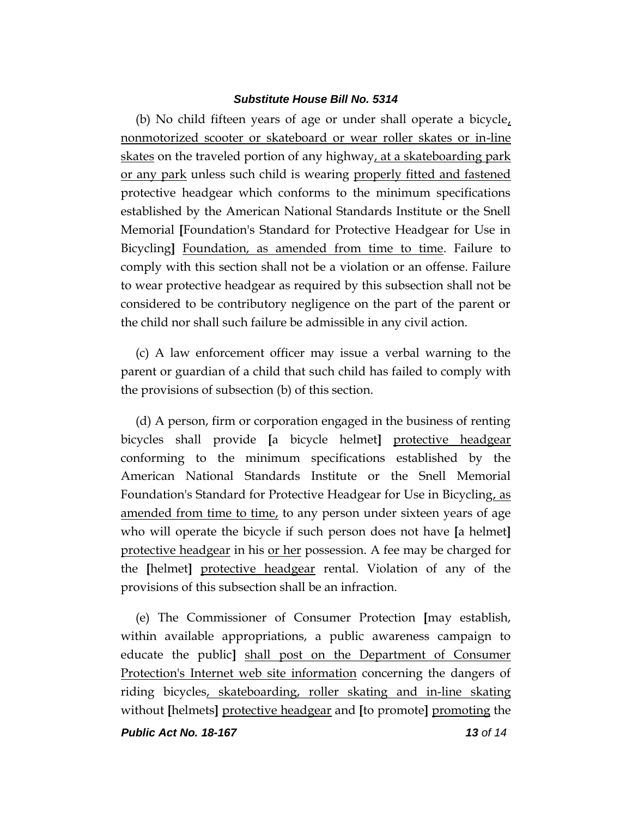(b) No child fifteen years of age or under shall operate a bicycle, nonmotorized scooter or skateboard or wear roller skates or in-line skates on the traveled portion of any highway, at a skateboarding park or any park unless such child is wearing properly fitted and fastened protective headgear which conforms to the minimum specifications established by the American National Standards Institute or the Snell Memorial **[**Foundation's Standard for Protective Headgear for Use in Bicycling**]** Foundation, as amended from time to time. Failure to comply with this section shall not be a violation or an offense. Failure to wear protective headgear as required by this subsection shall not be considered to be contributory negligence on the part of the parent or the child nor shall such failure be admissible in any civil action.

(c) A law enforcement officer may issue a verbal warning to the parent or guardian of a child that such child has failed to comply with the provisions of subsection (b) of this section.

(d) A person, firm or corporation engaged in the business of renting bicycles shall provide **[**a bicycle helmet**]** protective headgear conforming to the minimum specifications established by the American National Standards Institute or the Snell Memorial Foundation's Standard for Protective Headgear for Use in Bicycling, as amended from time to time, to any person under sixteen years of age who will operate the bicycle if such person does not have **[**a helmet**]** protective headgear in his or her possession. A fee may be charged for the **[**helmet**]** protective headgear rental. Violation of any of the provisions of this subsection shall be an infraction.

(e) The Commissioner of Consumer Protection **[**may establish, within available appropriations, a public awareness campaign to educate the public**]** shall post on the Department of Consumer Protection's Internet web site information concerning the dangers of riding bicycles, skateboarding, roller skating and in-line skating without **[**helmets**]** protective headgear and **[**to promote**]** promoting the